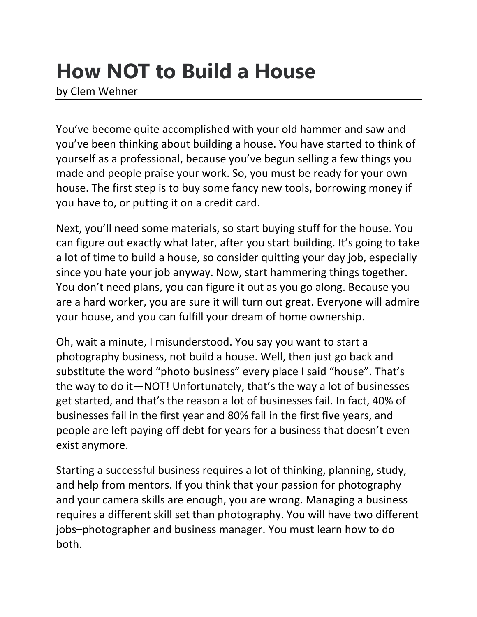## **How NOT to Build a House**

by Clem Wehner

You've become quite accomplished with your old hammer and saw and you've been thinking about building a house. You have started to think of yourself as a professional, because you've begun selling a few things you made and people praise your work. So, you must be ready for your own house. The first step is to buy some fancy new tools, borrowing money if you have to, or putting it on a credit card.

Next, you'll need some materials, so start buying stuff for the house. You can figure out exactly what later, after you start building. It's going to take a lot of time to build a house, so consider quitting your day job, especially since you hate your job anyway. Now, start hammering things together. You don't need plans, you can figure it out as you go along. Because you are a hard worker, you are sure it will turn out great. Everyone will admire your house, and you can fulfill your dream of home ownership.

Oh, wait a minute, I misunderstood. You say you want to start a photography business, not build a house. Well, then just go back and substitute the word "photo business" every place I said "house". That's the way to do it—NOT! Unfortunately, that's the way a lot of businesses get started, and that's the reason a lot of businesses fail. In fact, 40% of businesses fail in the first year and 80% fail in the first five years, and people are left paying off debt for years for a business that doesn't even exist anymore.

Starting a successful business requires a lot of thinking, planning, study, and help from mentors. If you think that your passion for photography and your camera skills are enough, you are wrong. Managing a business requires a different skill set than photography. You will have two different jobs–photographer and business manager. You must learn how to do both.